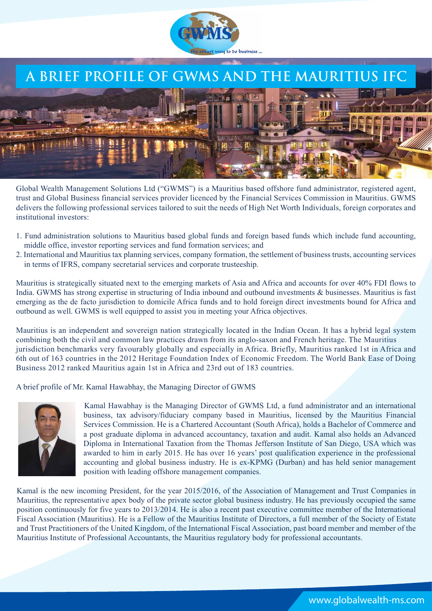

## **A BRIEF PROFILE OF GWMS AND**



:06Ltd is a Mauritius based fund administrator, registered agent, WUVWDGOREDO%VLHVVILDFLDOVI licenced by the Financial Services Commission in Mauritius. GWMS GHOLHUVWKHIROORLJSURIHVVLRDOVHULFHV to suit the needs of High Net Worth Individuals, foreign corporates and LVWLWWLRDOLHVWRUV

- 1. Fund administration solutions to Mauritius based global funds and foreign based funds which include fund accounting, middle office, investor reporting services and fund formation services; and
- 2. International and Mauritius tax planning services, company formation, the settlement of business trusts, accounting services in terms of IFRS, company secretarial services and corporate trusteeship.

Mauritius is strategically situated next to the emerging markets of Asia and Africa and accounts for VLJLILFDWDI flows to IULFDGWMS has strong expertise in structuring of India inbound and outbound investments & businesses. Mauritius is fast emerging as the de facto jurisdiction to domicile Africa funds and to hold foreign direct investments bound for Africa and outbound as well. GWMS is well equipped to assist you in meeting your Africa objectives.

Mauritius is an independent and sovereign nation strategically located in the Indian Ocean. It has a hybrid legal system combining both the civil and common law practices drawn from its anglo-saxon and French heritage. The Mauritius jurisdiction benchmarks very favourably globally and especially in Africa. Briefly, Mauritius ranked 1st in Africa and th out of 1 countries in the :RUOG%DN(DVHRIRLJ%VLHVVLGH . The )RUEHV6UH)RU%HVW&RWULHV IRUBusiness 201 ranked Mauritius again 1st in Africa and WK out of countries.

A brief profile of Mr. Kamal Hawabhay, the Managing Director of GWMS



ľ

Kamal Hawabhay is the Managing Director of GWMS Ltd, a fund administrator and an international business, tax advisory/fiduciary company based in Mauritius, licensed by the Mauritius Financial Services Commission. He is a Chartered Accountant (South Africa), holds a Bachelor of Commerce and a post graduate diploma in advanced accountancy, taxation and audit. Kamal also holds an Advanced Diploma in International Taxation from the Thomas Jefferson Institute of San Diego, USA which was awarded to him in early 2015. He has over vears' post qualification experience in the professional accounting and global business industry. He is ex-KPMG (Durban) and has held senior management position with leading offshore management companies.

Kamal DV the President, for the ODVWVLHDdfVhe Association of Management and Trust Companies70& in Mauritius, the representative apex body of the private sector global business industry. +HLVDOVRDUHFHWSDVWHHFWLH committee member of the International )LVFDOVVRFLDWLR0DULWLV+HLVD)HOORRIWKH0DULWLV,VWLWWHRII a full member of 67(3RIWKH8LWHG.LJGRPRIWKH,WHUDWLRDO)LVFDOVVRFLDWLRSDVWERDUGPHPEHUDGPH 0DULWLV,VWLWWHRI3URIHVVLRDOFFRWDWVWKH0DULWLVUHJODWRUERGIRUSURIHVVLRDODFFRWDW